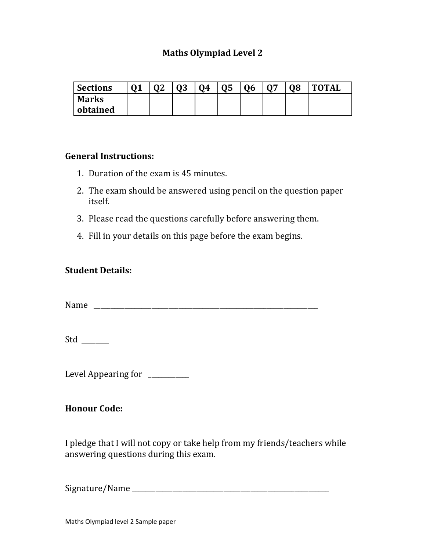## **Maths Olympiad Level 2**

| <b>Sections</b> | Λ1 | Λŋ | ΛO<br>υJ | 04 | <b>Q5</b> | 06 | $\mathsf{A}\mathsf{\Sigma}$ | 08 | <b>TOTAL</b> |
|-----------------|----|----|----------|----|-----------|----|-----------------------------|----|--------------|
| <b>Marks</b>    |    |    |          |    |           |    |                             |    |              |
| obtained        |    |    |          |    |           |    |                             |    |              |

### **General Instructions:**

- 1. Duration of the exam is 45 minutes.
- 2. The exam should be answered using pencil on the question paper itself.
- 3. Please read the questions carefully before answering them.
- 4. Fill in your details on this page before the exam begins.

### **Student Details:**

Name \_\_\_\_\_\_\_\_\_\_\_\_\_\_\_\_\_\_\_\_\_\_\_\_\_\_\_\_\_\_\_\_\_\_\_\_\_\_\_\_\_\_\_\_\_\_\_\_\_\_\_\_\_\_\_\_\_\_\_\_\_\_\_\_\_\_

Std \_\_\_\_\_\_\_\_

Level Appearing for \_\_\_\_\_\_\_

## **Honour Code:**

I pledge that I will not copy or take help from my friends/teachers while answering questions during this exam.

Signature/Name \_\_\_\_\_\_\_\_\_\_\_\_\_\_\_\_\_\_\_\_\_\_\_\_\_\_\_\_\_\_\_\_\_\_\_\_\_\_\_\_\_\_\_\_\_\_\_\_\_\_\_\_\_\_\_\_\_\_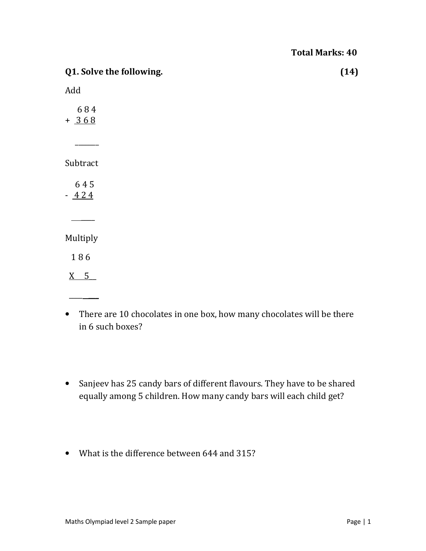| Q1. Solve the following. | (14) |
|--------------------------|------|
| Add                      |      |
| 684<br>$+ 368$           |      |
|                          |      |
| Subtract                 |      |
| 645<br>$-424$            |      |
|                          |      |
| Multiply                 |      |
| 186                      |      |
| $X = 5$                  |      |
|                          |      |

- There are 10 chocolates in one box, how many chocolates will be there in 6 such boxes?
- Sanjeev has 25 candy bars of different flavours. They have to be shared equally among 5 children. How many candy bars will each child get?
- What is the difference between 644 and 315?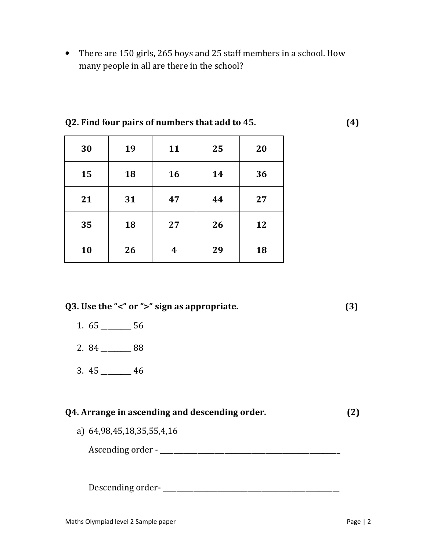• There are 150 girls, 265 boys and 25 staff members in a school. How many people in all are there in the school?

| 30 | 19 | 11 | 25 | 20 |
|----|----|----|----|----|
| 15 | 18 | 16 | 14 | 36 |
| 21 | 31 | 47 | 44 | 27 |
| 35 | 18 | 27 | 26 | 12 |
| 10 | 26 | 4  | 29 | 18 |

### **Q2. Find four pairs of numbers that add to 45. (4)**

**Q3. Use the "<" or ">" sign as appropriate. (3)** 

- 1. 65 \_\_\_\_\_\_\_\_\_ 56
- 2. 84 \_\_\_\_\_\_\_\_\_ 88
- 3. 45 \_\_\_\_\_\_\_\_\_ 46

| Q4. Arrange in ascending and descending order. | (2) |
|------------------------------------------------|-----|
| a) 64,98,45,18,35,55,4,16                      |     |
| Ascending order - _                            |     |
|                                                |     |

Descending order- \_\_\_\_\_\_\_\_\_\_\_\_\_\_\_\_\_\_\_\_\_\_\_\_\_\_\_\_\_\_\_\_\_\_\_\_\_\_\_\_\_\_\_\_\_\_\_\_\_\_\_\_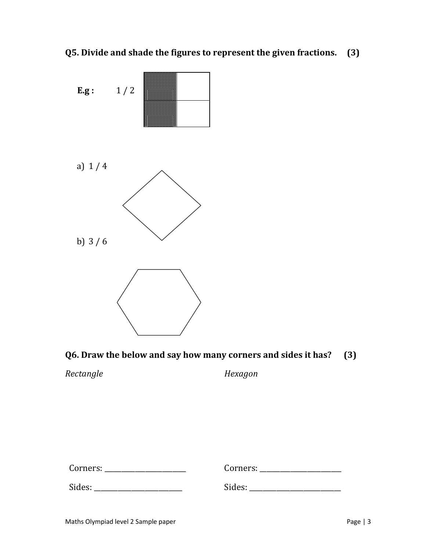**Q5. Divide and shade the figures to represent the given fractions. (3)** 



**Q6. Draw the below and say how many corners and sides it has? (3)** 

*Rectangle* 

*Hexagon* 

Corners: \_\_\_\_\_\_\_\_\_\_\_\_\_\_\_\_\_\_\_\_\_\_\_\_

Sides: \_\_\_\_\_\_\_\_\_\_\_\_\_\_\_\_\_\_\_\_\_\_\_\_\_\_

Sides: \_\_\_\_\_\_\_\_\_\_\_\_\_\_\_\_\_\_\_\_\_\_\_\_\_\_\_